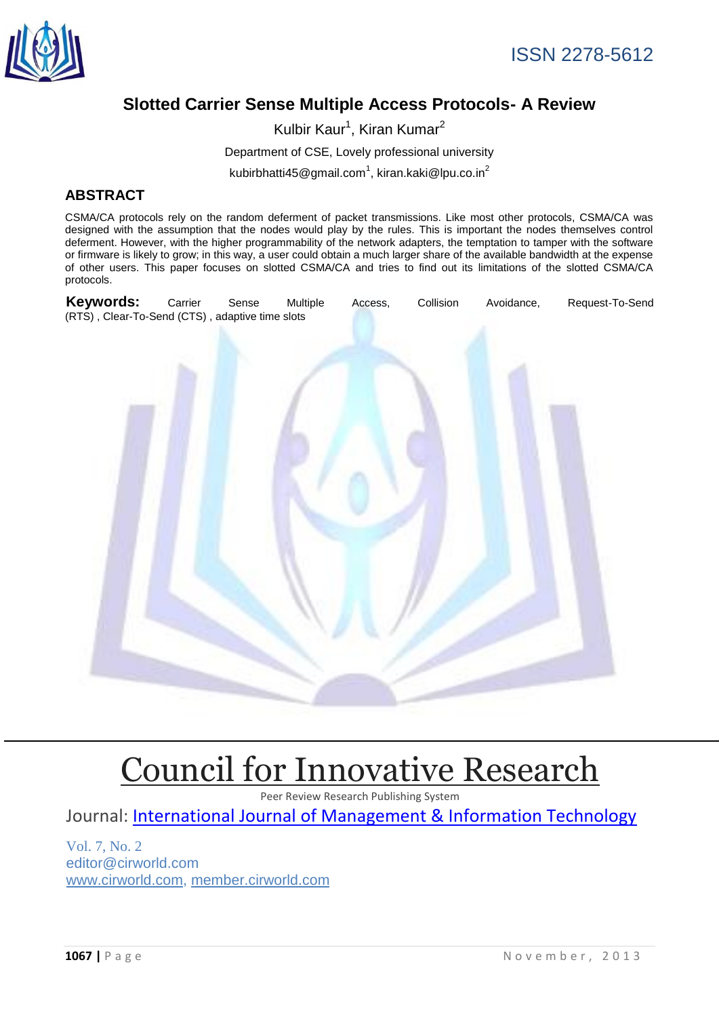

# **Slotted Carrier Sense Multiple Access Protocols- A Review**

Kulbir Kaur<sup>1</sup>, Kiran Kumar<sup>2</sup> Department of CSE, Lovely professional university

kubirbhatti45@gmail.com<sup>1</sup>, kiran.kaki@lpu.co.in<sup>2</sup>

## **ABSTRACT**

CSMA/CA protocols rely on the random deferment of packet transmissions. Like most other protocols, CSMA/CA was designed with the assumption that the nodes would play by the rules. This is important the nodes themselves control deferment. However, with the higher programmability of the network adapters, the temptation to tamper with the software or firmware is likely to grow; in this way, a user could obtain a much larger share of the available bandwidth at the expense of other users. This paper focuses on slotted CSMA/CA and tries to find out its limitations of the slotted CSMA/CA protocols.



# [Council for Innovative Research](http://member.cirworld.com/)

Peer Review Research Publishing System

Journal: [International Journal of Management & Information Technology](http://www.ijmit.com/)

Vol. 7, No. 2 editor@cirworld.com [www.cirworld.com, me](http://www.cirworld.com/)mber.cirworld.com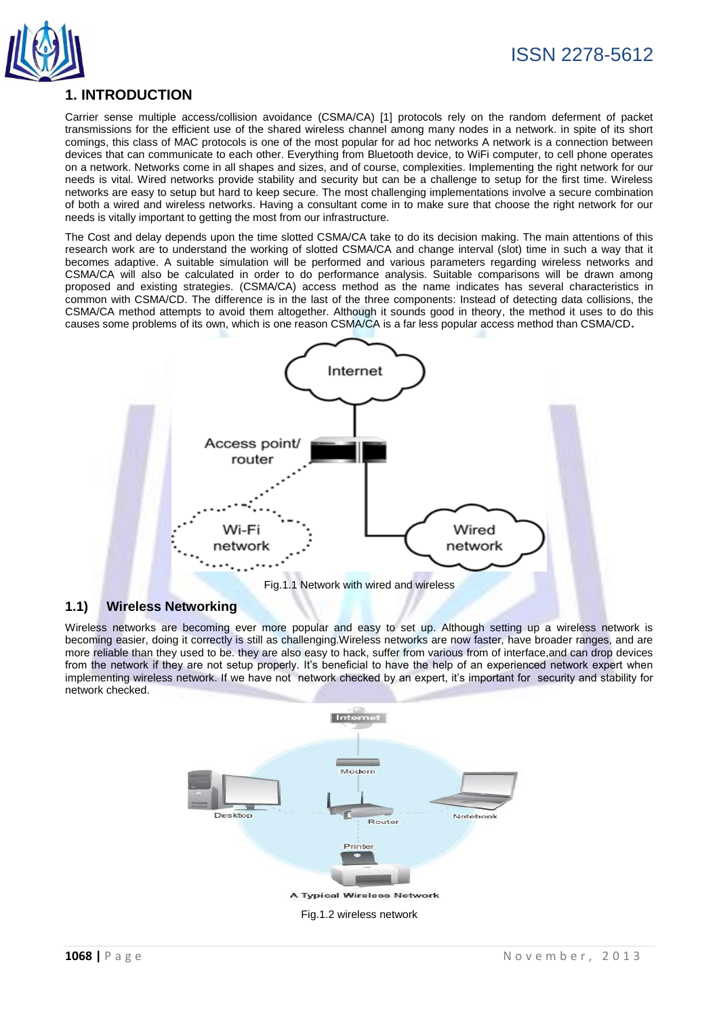

## **1. INTRODUCTION**

Carrier sense multiple access/collision avoidance (CSMA/CA) [1] protocols rely on the random deferment of packet transmissions for the efficient use of the shared wireless channel among many nodes in a network. in spite of its short comings, this class of MAC protocols is one of the most popular for ad hoc networks A network is a connection between devices that can communicate to each other. Everything from Bluetooth device, to WiFi computer, to cell phone operates on a network. Networks come in all shapes and sizes, and of course, complexities. Implementing the right network for our needs is vital. Wired networks provide stability and security but can be a challenge to setup for the first time. Wireless networks are easy to setup but hard to keep secure. The most challenging implementations involve a secure combination of both a wired and wireless networks. Having a consultant come in to make sure that choose the right network for our needs is vitally important to getting the most from our infrastructure.

The Cost and delay depends upon the time slotted CSMA/CA take to do its decision making. The main attentions of this research work are to understand the working of slotted CSMA/CA and change interval (slot) time in such a way that it becomes adaptive. A suitable simulation will be performed and various parameters regarding wireless networks and CSMA/CA will also be calculated in order to do performance analysis. Suitable comparisons will be drawn among proposed and existing strategies. (CSMA/CA) access method as the name indicates has several characteristics in common with CSMA/CD. The difference is in the last of the three components: Instead of detecting data collisions, the CSMA/CA method attempts to avoid them altogether. Although it sounds good in theory, the method it uses to do this causes some problems of its own, which is one reason CSMA/CA is a far less popular access method than CSMA/CD**.**



Fig.1.1 Network with wired and wireless

## **1.1) Wireless Networking**

Wireless networks are becoming ever more popular and easy to set up. Although setting up a wireless network is becoming easier, doing it correctly is still as challenging.Wireless networks are now faster, have broader ranges, and are more reliable than they used to be. they are also easy to hack, suffer from various from of interface,and can drop devices from the network if they are not setup properly. It's beneficial to have the help of an experienced network expert when implementing wireless network. If we have not network checked by an expert, it's important for security and stability for network checked.

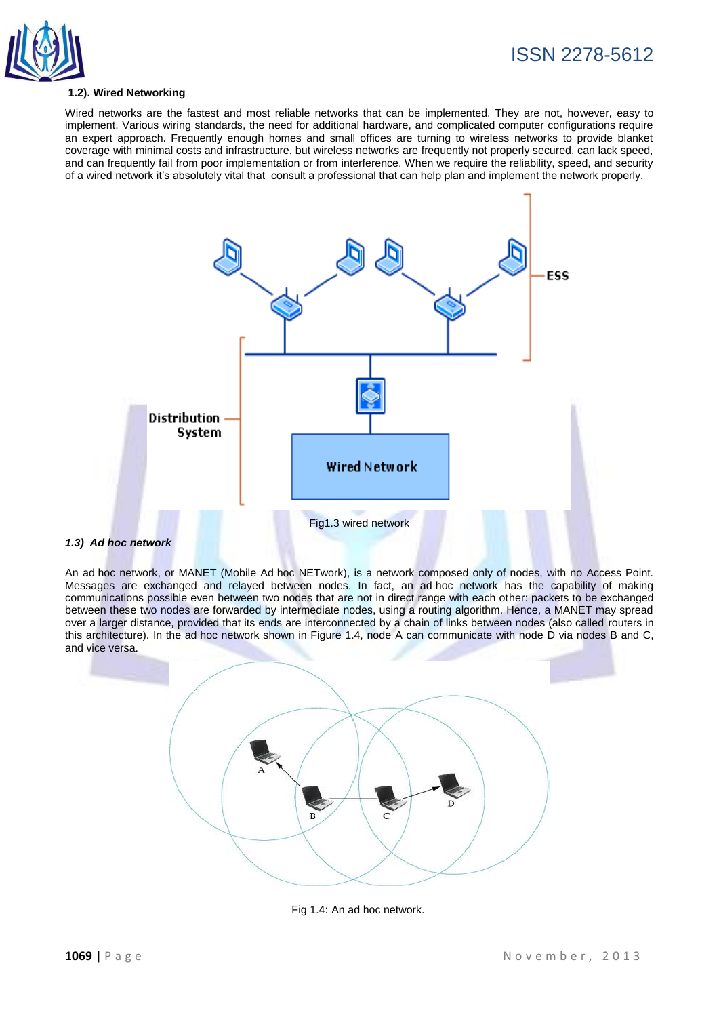

### **1.2). Wired Networking**

Wired networks are the fastest and most reliable networks that can be implemented. They are not, however, easy to implement. Various wiring standards, the need for additional hardware, and complicated computer configurations require an expert approach. Frequently enough homes and small offices are turning to wireless networks to provide blanket coverage with minimal costs and infrastructure, but wireless networks are frequently not properly secured, can lack speed, and can frequently fail from poor implementation or from interference. When we require the reliability, speed, and security of a wired network it's absolutely vital that consult a professional that can help plan and implement the network properly.



An ad hoc network, or MANET (Mobile Ad hoc NETwork), is a network composed only of nodes, with no Access Point. Messages are exchanged and relayed between nodes. In fact, an ad hoc network has the capability of making communications possible even between two nodes that are not in direct range with each other: packets to be exchanged between these two nodes are forwarded by intermediate nodes, using a routing algorithm. Hence, a MANET may spread over a larger distance, provided that its ends are interconnected by a chain of links between nodes (also called routers in this architecture). In the ad hoc network shown in Figure 1.4, node A can communicate with node D via nodes B and C, and vice versa.



Fig 1.4: An ad hoc network.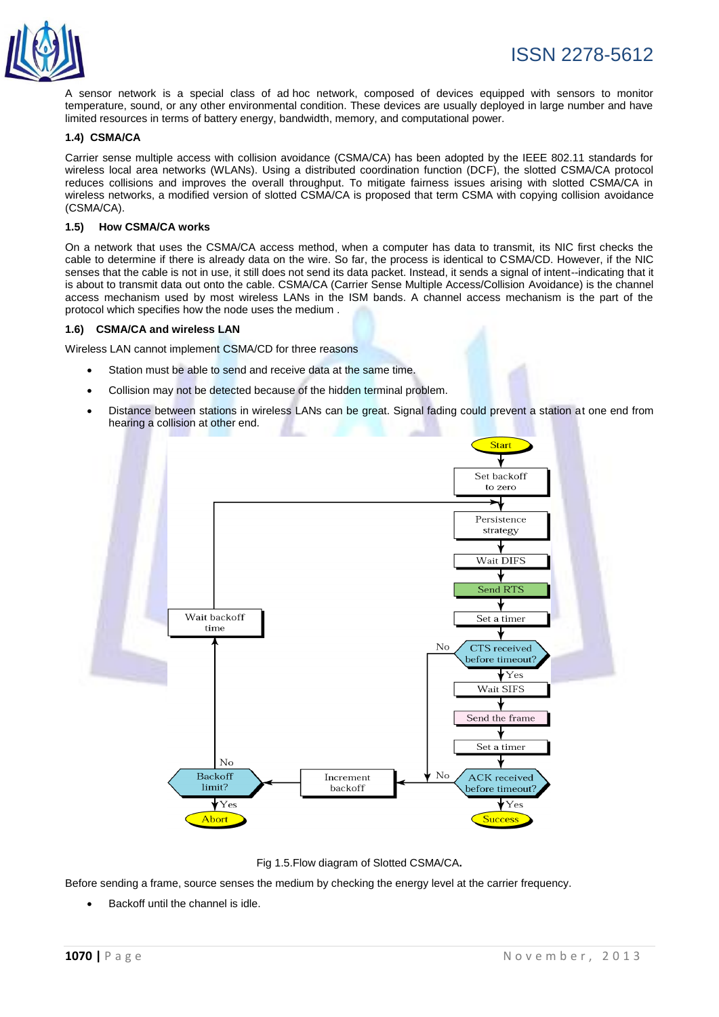

A sensor network is a special class of ad hoc network, composed of devices equipped with sensors to monitor temperature, sound, or any other environmental condition. These devices are usually deployed in large number and have limited resources in terms of battery energy, bandwidth, memory, and computational power.

#### **1.4) CSMA/CA**

Carrier sense multiple access with collision avoidance (CSMA/CA) has been adopted by the IEEE 802.11 standards for wireless local area networks (WLANs). Using a distributed coordination function (DCF), the slotted CSMA/CA protocol reduces collisions and improves the overall throughput. To mitigate fairness issues arising with slotted CSMA/CA in wireless networks, a modified version of slotted CSMA/CA is proposed that term CSMA with copying collision avoidance (CSMA/CA).

#### **1.5) How CSMA/CA works**

On a network that uses the CSMA/CA access method, when a computer has data to transmit, its NIC first checks the cable to determine if there is already data on the wire. So far, the process is identical to CSMA/CD. However, if the NIC senses that the cable is not in use, it still does not send its data packet. Instead, it sends a signal of intent--indicating that it is about to transmit data out onto the cable. CSMA/CA (Carrier Sense Multiple Access/Collision Avoidance) is the channel access mechanism used by most wireless LANs in the ISM bands. A channel access mechanism is the part of the protocol which specifies how the node uses the medium .

#### **1.6) CSMA/CA and wireless LAN**

Wireless LAN cannot implement CSMA/CD for three reasons

- Station must be able to send and receive data at the same time.
- Collision may not be detected because of the hidden terminal problem.
- Distance between stations in wireless LANs can be great. Signal fading could prevent a station at one end from hearing a collision at other end.



Fig 1.5.Flow diagram of Slotted CSMA/CA**.**

Before sending a frame, source senses the medium by checking the energy level at the carrier frequency.

Backoff until the channel is idle.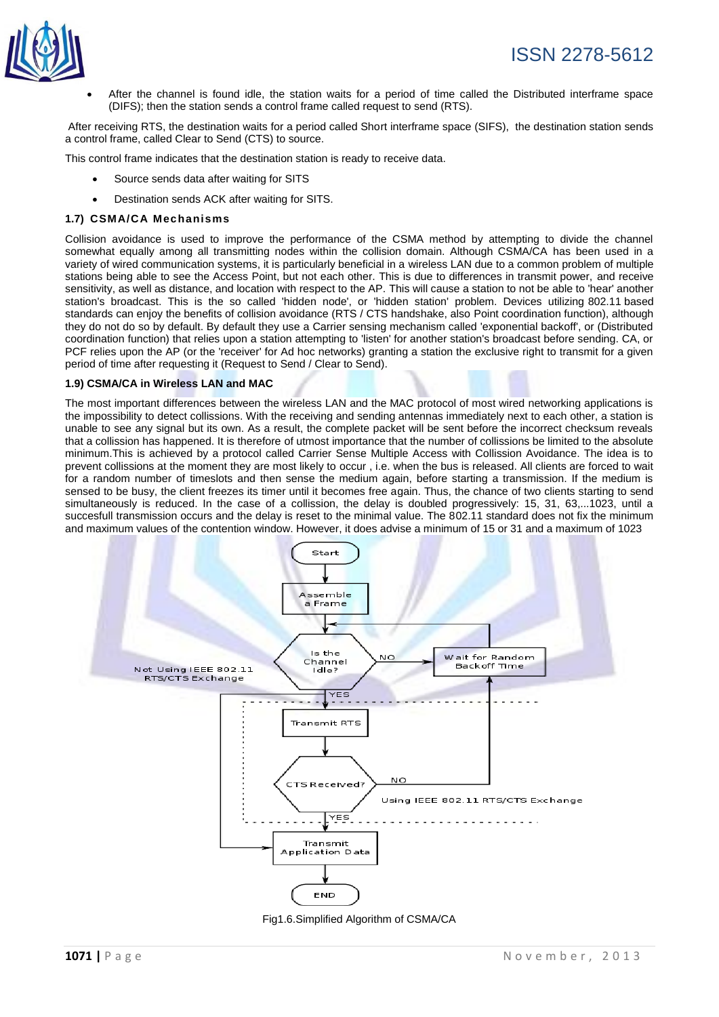

 After the channel is found idle, the station waits for a period of time called the Distributed interframe space (DIFS); then the station sends a control frame called request to send (RTS).

After receiving RTS, the destination waits for a period called Short interframe space (SIFS), the destination station sends a control frame, called Clear to Send (CTS) to source.

This control frame indicates that the destination station is ready to receive data.

- Source sends data after waiting for SITS
- Destination sends ACK after waiting for SITS.

#### **1.7) CSMA/CA Mechanisms**

Collision avoidance is used to improve the performance of the CSMA method by attempting to divide the channel somewhat equally among all transmitting nodes within the collision domain. Although CSMA/CA has been used in a variety of wired communication systems, it is particularly beneficial in a wireless LAN due to a common problem of multiple stations being able to see the Access Point, but not each other. This is due to differences in transmit power, and receive sensitivity, as well as distance, and location with respect to the AP. This will cause a station to not be able to 'hear' another station's broadcast. This is the so called 'hidden node', or 'hidden station' problem. Devices utilizing 802.11 based standards can enjoy the benefits of collision avoidance (RTS / CTS handshake, also Point coordination function), although they do not do so by default. By default they use a Carrier sensing mechanism called 'exponential backoff', or (Distributed coordination function) that relies upon a station attempting to 'listen' for another station's broadcast before sending. CA, or PCF relies upon the AP (or the 'receiver' for Ad hoc networks) granting a station the exclusive right to transmit for a given period of time after requesting it (Request to Send / Clear to Send).

#### **1.9) CSMA/CA in Wireless LAN and MAC**

The most important differences between the wireless LAN and the MAC protocol of most wired networking applications is the impossibility to detect collissions. With the receiving and sending antennas immediately next to each other, a station is unable to see any signal but its own. As a result, the complete packet will be sent before the incorrect checksum reveals that a collission has happened. It is therefore of utmost importance that the number of collissions be limited to the absolute minimum.This is achieved by a protocol called Carrier Sense Multiple Access with Collission Avoidance. The idea is to prevent collissions at the moment they are most likely to occur , i.e. when the bus is released. All clients are forced to wait for a random number of timeslots and then sense the medium again, before starting a transmission. If the medium is sensed to be busy, the client freezes its timer until it becomes free again. Thus, the chance of two clients starting to send simultaneously is reduced. In the case of a collission, the delay is doubled progressively: 15, 31, 63,...1023, until a succesfull transmission occurs and the delay is reset to the minimal value. The 802.11 standard does not fix the minimum and maximum values of the contention window. However, it does advise a minimum of 15 or 31 and a maximum of 1023



Fig1.6.Simplified Algorithm of CSMA/CA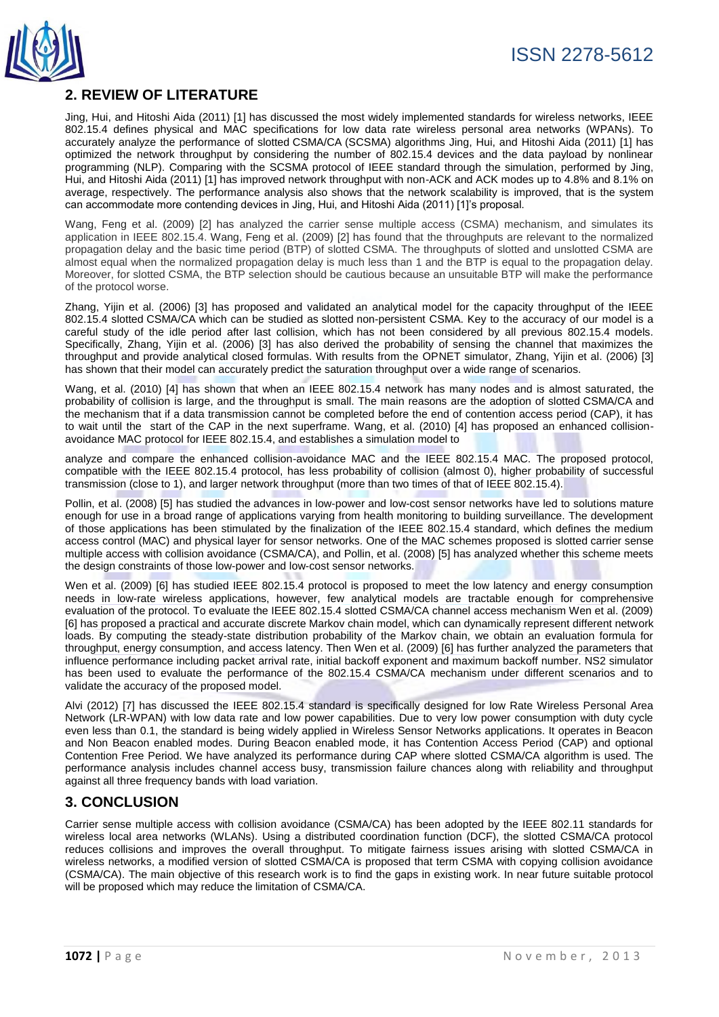

## **2. REVIEW OF LITERATURE**

Jing, Hui, and Hitoshi Aida (2011) [1] has discussed the most widely implemented standards for wireless networks, IEEE 802.15.4 defines physical and MAC specifications for low data rate wireless personal area networks (WPANs). To accurately analyze the performance of slotted CSMA/CA (SCSMA) algorithms Jing, Hui, and Hitoshi Aida (2011) [1] has optimized the network throughput by considering the number of 802.15.4 devices and the data payload by nonlinear programming (NLP). Comparing with the SCSMA protocol of IEEE standard through the simulation, performed by Jing, Hui, and Hitoshi Aida (2011) [1] has improved network throughput with non-ACK and ACK modes up to 4.8% and 8.1% on average, respectively. The performance analysis also shows that the network scalability is improved, that is the system can accommodate more contending devices in Jing, Hui, and Hitoshi Aida (2011) [1]'s proposal.

Wang, Feng et al. (2009) [2] has analyzed the carrier sense multiple access (CSMA) mechanism, and simulates its application in IEEE 802.15.4. Wang, Feng et al. (2009) [2] has found that the throughputs are relevant to the normalized propagation delay and the basic time period (BTP) of slotted CSMA. The throughputs of slotted and unslotted CSMA are almost equal when the normalized propagation delay is much less than 1 and the BTP is equal to the propagation delay. Moreover, for slotted CSMA, the BTP selection should be cautious because an unsuitable BTP will make the performance of the protocol worse.

Zhang, Yijin et al. (2006) [3] has proposed and validated an analytical model for the capacity throughput of the IEEE 802.15.4 slotted CSMA/CA which can be studied as slotted non-persistent CSMA. Key to the accuracy of our model is a careful study of the idle period after last collision, which has not been considered by all previous 802.15.4 models. Specifically, Zhang, Yijin et al. (2006) [3] has also derived the probability of sensing the channel that maximizes the throughput and provide analytical closed formulas. With results from the OPNET simulator, Zhang, Yijin et al. (2006) [3] has shown that their model can accurately predict the saturation throughput over a wide range of scenarios.

Wang, et al. (2010) [4] has shown that when an IEEE 802.15.4 network has many nodes and is almost saturated, the probability of collision is large, and the throughput is small. The main reasons are the adoption of slotted CSMA/CA and the mechanism that if a data transmission cannot be completed before the end of contention access period (CAP), it has to wait until the start of the CAP in the next superframe. Wang, et al. (2010) [4] has proposed an enhanced collisionavoidance MAC protocol for IEEE 802.15.4, and establishes a simulation model to

analyze and compare the enhanced collision-avoidance MAC and the IEEE 802.15.4 MAC. The proposed protocol, compatible with the IEEE 802.15.4 protocol, has less probability of collision (almost 0), higher probability of successful transmission (close to 1), and larger network throughput (more than two times of that of IEEE 802.15.4).

Pollin, et al. (2008) [5] has studied the advances in low-power and low-cost sensor networks have led to solutions mature enough for use in a broad range of applications varying from health monitoring to building surveillance. The development of those applications has been stimulated by the finalization of the IEEE 802.15.4 standard, which defines the medium access control (MAC) and physical layer for sensor networks. One of the MAC schemes proposed is slotted carrier sense multiple access with collision avoidance (CSMA/CA), and Pollin, et al. (2008) [5] has analyzed whether this scheme meets the design constraints of those low-power and low-cost sensor networks.

Wen et al. (2009) [6] has studied IEEE 802.15.4 protocol is proposed to meet the low latency and energy consumption needs in low-rate wireless applications, however, few analytical models are tractable enough for comprehensive evaluation of the protocol. To evaluate the IEEE 802.15.4 slotted CSMA/CA channel access mechanism Wen et al. (2009) [6] has proposed a practical and accurate discrete Markov chain model, which can dynamically represent different network loads. By computing the steady-state distribution probability of the Markov chain, we obtain an evaluation formula for throughput, energy consumption, and access latency. Then Wen et al. (2009) [6] has further analyzed the parameters that influence performance including packet arrival rate, initial backoff exponent and maximum backoff number. NS2 simulator has been used to evaluate the performance of the 802.15.4 CSMA/CA mechanism under different scenarios and to validate the accuracy of the proposed model.

Alvi (2012) [7] has discussed the IEEE 802.15.4 standard is specifically designed for low Rate Wireless Personal Area Network (LR-WPAN) with low data rate and low power capabilities. Due to very low power consumption with duty cycle even less than 0.1, the standard is being widely applied in Wireless Sensor Networks applications. It operates in Beacon and Non Beacon enabled modes. During Beacon enabled mode, it has Contention Access Period (CAP) and optional Contention Free Period. We have analyzed its performance during CAP where slotted CSMA/CA algorithm is used. The performance analysis includes channel access busy, transmission failure chances along with reliability and throughput against all three frequency bands with load variation.

## **3. CONCLUSION**

Carrier sense multiple access with collision avoidance (CSMA/CA) has been adopted by the IEEE 802.11 standards for wireless local area networks (WLANs). Using a distributed coordination function (DCF), the slotted CSMA/CA protocol reduces collisions and improves the overall throughput. To mitigate fairness issues arising with slotted CSMA/CA in wireless networks, a modified version of slotted CSMA/CA is proposed that term CSMA with copying collision avoidance (CSMA/CA). The main objective of this research work is to find the gaps in existing work. In near future suitable protocol will be proposed which may reduce the limitation of CSMA/CA.